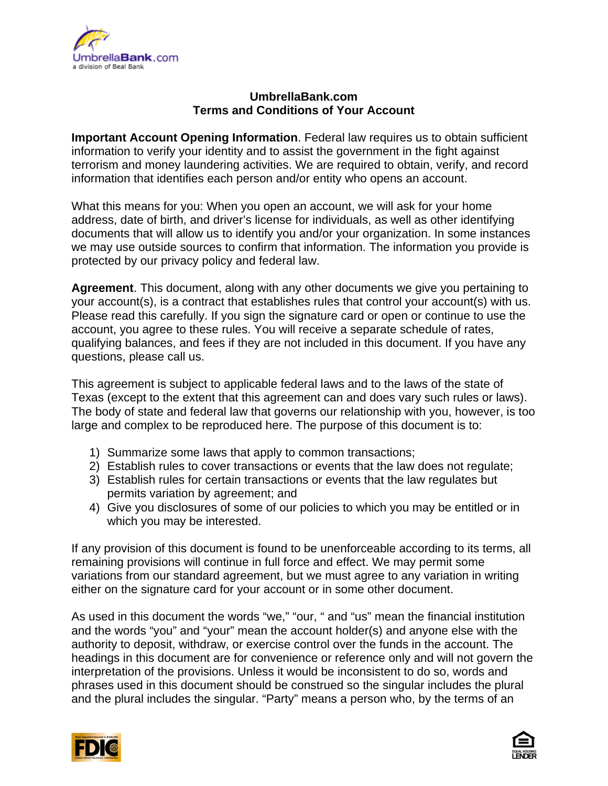

# **[UmbrellaBank.com](https://www.umbrellabank.com) Terms and Conditions of Your Account**

**Important Account Opening Information**. Federal law requires us to obtain sufficient information to verify your identity and to assist the government in the fight against terrorism and money laundering activities. We are required to obtain, verify, and record information that identifies each person and/or entity who opens an account.

What this means for you: When you open an account, we will ask for your home address, date of birth, and driver's license for individuals, as well as other identifying documents that will allow us to identify you and/or your organization. In some instances we may use outside sources to confirm that information. The information you provide is protected by our privacy policy and federal law.

**Agreement**. This document, along with any other documents we give you pertaining to your account(s), is a contract that establishes rules that control your account(s) with us. Please read this carefully. If you sign the signature card or open or continue to use the account, you agree to these rules. You will receive a separate schedule of rates, qualifying balances, and fees if they are not included in this document. If you have any questions, please call us.

This agreement is subject to applicable federal laws and to the laws of the state of Texas (except to the extent that this agreement can and does vary such rules or laws). The body of state and federal law that governs our relationship with you, however, is too large and complex to be reproduced here. The purpose of this document is to:

- 1) Summarize some laws that apply to common transactions;
- 2) Establish rules to cover transactions or events that the law does not regulate;
- 3) Establish rules for certain transactions or events that the law regulates but permits variation by agreement; and
- 4) Give you disclosures of some of our policies to which you may be entitled or in which you may be interested.

If any provision of this document is found to be unenforceable according to its terms, all remaining provisions will continue in full force and effect. We may permit some variations from our standard agreement, but we must agree to any variation in writing either on the signature card for your account or in some other document.

As used in this document the words "we," "our, " and "us" mean the financial institution and the words "you" and "your" mean the account holder(s) and anyone else with the authority to deposit, withdraw, or exercise control over the funds in the account. The headings in this document are for convenience or reference only and will not govern the interpretation of the provisions. Unless it would be inconsistent to do so, words and phrases used in this document should be construed so the singular includes the plural and the plural includes the singular. "Party" means a person who, by the terms of an



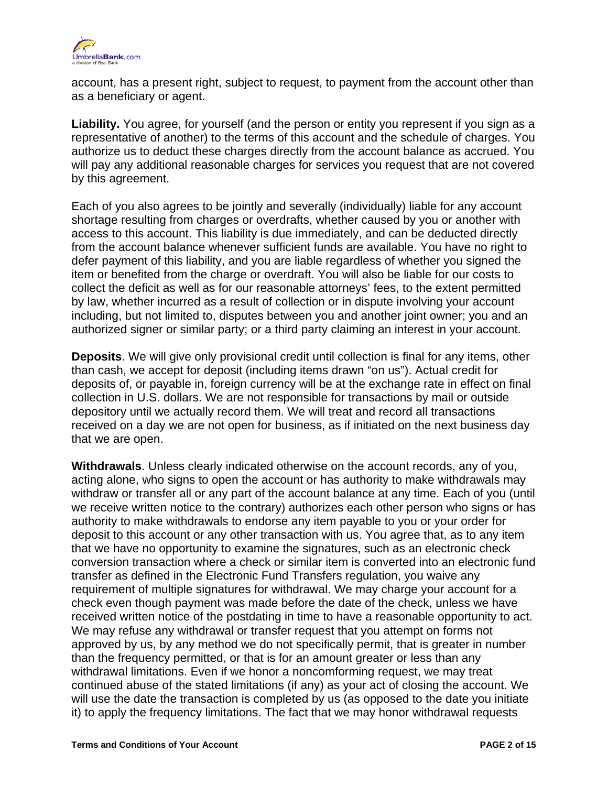

account, has a present right, subject to request, to payment from the account other than as a beneficiary or agent.

**Liability.** You agree, for yourself (and the person or entity you represent if you sign as a representative of another) to the terms of this account and the schedule of charges. You authorize us to deduct these charges directly from the account balance as accrued. You will pay any additional reasonable charges for services you request that are not covered by this agreement.

Each of you also agrees to be jointly and severally (individually) liable for any account shortage resulting from charges or overdrafts, whether caused by you or another with access to this account. This liability is due immediately, and can be deducted directly from the account balance whenever sufficient funds are available. You have no right to defer payment of this liability, and you are liable regardless of whether you signed the item or benefited from the charge or overdraft. You will also be liable for our costs to collect the deficit as well as for our reasonable attorneys' fees, to the extent permitted by law, whether incurred as a result of collection or in dispute involving your account including, but not limited to, disputes between you and another joint owner; you and an authorized signer or similar party; or a third party claiming an interest in your account.

**Deposits**. We will give only provisional credit until collection is final for any items, other than cash, we accept for deposit (including items drawn "on us"). Actual credit for deposits of, or payable in, foreign currency will be at the exchange rate in effect on final collection in U.S. dollars. We are not responsible for transactions by mail or outside depository until we actually record them. We will treat and record all transactions received on a day we are not open for business, as if initiated on the next business day that we are open.

**Withdrawals**. Unless clearly indicated otherwise on the account records, any of you, acting alone, who signs to open the account or has authority to make withdrawals may withdraw or transfer all or any part of the account balance at any time. Each of you (until we receive written notice to the contrary) authorizes each other person who signs or has authority to make withdrawals to endorse any item payable to you or your order for deposit to this account or any other transaction with us. You agree that, as to any item that we have no opportunity to examine the signatures, such as an electronic check conversion transaction where a check or similar item is converted into an electronic fund transfer as defined in the Electronic Fund Transfers regulation, you waive any requirement of multiple signatures for withdrawal. We may charge your account for a check even though payment was made before the date of the check, unless we have received written notice of the postdating in time to have a reasonable opportunity to act. We may refuse any withdrawal or transfer request that you attempt on forms not approved by us, by any method we do not specifically permit, that is greater in number than the frequency permitted, or that is for an amount greater or less than any withdrawal limitations. Even if we honor a noncomforming request, we may treat continued abuse of the stated limitations (if any) as your act of closing the account. We will use the date the transaction is completed by us (as opposed to the date you initiate it) to apply the frequency limitations. The fact that we may honor withdrawal requests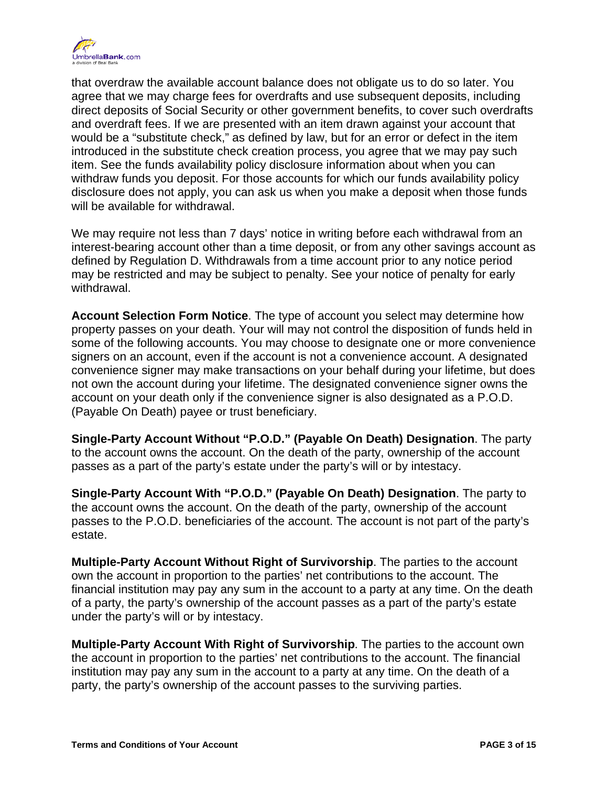

that overdraw the available account balance does not obligate us to do so later. You agree that we may charge fees for overdrafts and use subsequent deposits, including direct deposits of Social Security or other government benefits, to cover such overdrafts and overdraft fees. If we are presented with an item drawn against your account that would be a "substitute check," as defined by law, but for an error or defect in the item introduced in the substitute check creation process, you agree that we may pay such item. See the funds availability policy disclosure information about when you can withdraw funds you deposit. For those accounts for which our funds availability policy disclosure does not apply, you can ask us when you make a deposit when those funds will be available for withdrawal.

We may require not less than 7 days' notice in writing before each withdrawal from an interest-bearing account other than a time deposit, or from any other savings account as defined by Regulation D. Withdrawals from a time account prior to any notice period may be restricted and may be subject to penalty. See your notice of penalty for early withdrawal.

**Account Selection Form Notice**. The type of account you select may determine how property passes on your death. Your will may not control the disposition of funds held in some of the following accounts. You may choose to designate one or more convenience signers on an account, even if the account is not a convenience account. A designated convenience signer may make transactions on your behalf during your lifetime, but does not own the account during your lifetime. The designated convenience signer owns the account on your death only if the convenience signer is also designated as a P.O.D. (Payable On Death) payee or trust beneficiary.

**Single-Party Account Without "P.O.D." (Payable On Death) Designation**. The party to the account owns the account. On the death of the party, ownership of the account passes as a part of the party's estate under the party's will or by intestacy.

**Single-Party Account With "P.O.D." (Payable On Death) Designation**. The party to the account owns the account. On the death of the party, ownership of the account passes to the P.O.D. beneficiaries of the account. The account is not part of the party's estate.

**Multiple-Party Account Without Right of Survivorship**. The parties to the account own the account in proportion to the parties' net contributions to the account. The financial institution may pay any sum in the account to a party at any time. On the death of a party, the party's ownership of the account passes as a part of the party's estate under the party's will or by intestacy.

**Multiple-Party Account With Right of Survivorship**. The parties to the account own the account in proportion to the parties' net contributions to the account. The financial institution may pay any sum in the account to a party at any time. On the death of a party, the party's ownership of the account passes to the surviving parties.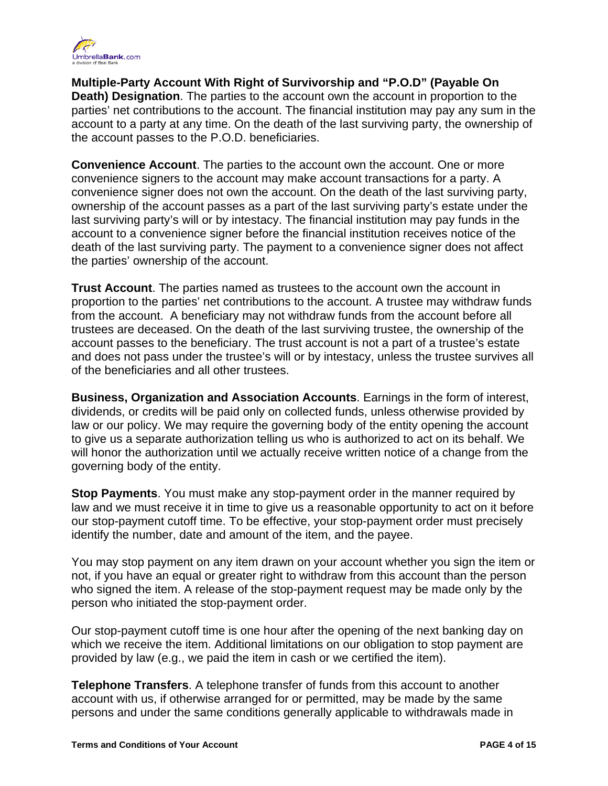

**Multiple-Party Account With Right of Survivorship and "P.O.D" (Payable On Death) Designation**. The parties to the account own the account in proportion to the parties' net contributions to the account. The financial institution may pay any sum in the account to a party at any time. On the death of the last surviving party, the ownership of the account passes to the P.O.D. beneficiaries.

**Convenience Account**. The parties to the account own the account. One or more convenience signers to the account may make account transactions for a party. A convenience signer does not own the account. On the death of the last surviving party, ownership of the account passes as a part of the last surviving party's estate under the last surviving party's will or by intestacy. The financial institution may pay funds in the account to a convenience signer before the financial institution receives notice of the death of the last surviving party. The payment to a convenience signer does not affect the parties' ownership of the account.

**Trust Account**. The parties named as trustees to the account own the account in proportion to the parties' net contributions to the account. A trustee may withdraw funds from the account. A beneficiary may not withdraw funds from the account before all trustees are deceased. On the death of the last surviving trustee, the ownership of the account passes to the beneficiary. The trust account is not a part of a trustee's estate and does not pass under the trustee's will or by intestacy, unless the trustee survives all of the beneficiaries and all other trustees.

**Business, Organization and Association Accounts**. Earnings in the form of interest, dividends, or credits will be paid only on collected funds, unless otherwise provided by law or our policy. We may require the governing body of the entity opening the account to give us a separate authorization telling us who is authorized to act on its behalf. We will honor the authorization until we actually receive written notice of a change from the governing body of the entity.

**Stop Payments**. You must make any stop-payment order in the manner required by law and we must receive it in time to give us a reasonable opportunity to act on it before our stop-payment cutoff time. To be effective, your stop-payment order must precisely identify the number, date and amount of the item, and the payee.

You may stop payment on any item drawn on your account whether you sign the item or not, if you have an equal or greater right to withdraw from this account than the person who signed the item. A release of the stop-payment request may be made only by the person who initiated the stop-payment order.

Our stop-payment cutoff time is one hour after the opening of the next banking day on which we receive the item. Additional limitations on our obligation to stop payment are provided by law (e.g., we paid the item in cash or we certified the item).

**Telephone Transfers**. A telephone transfer of funds from this account to another account with us, if otherwise arranged for or permitted, may be made by the same persons and under the same conditions generally applicable to withdrawals made in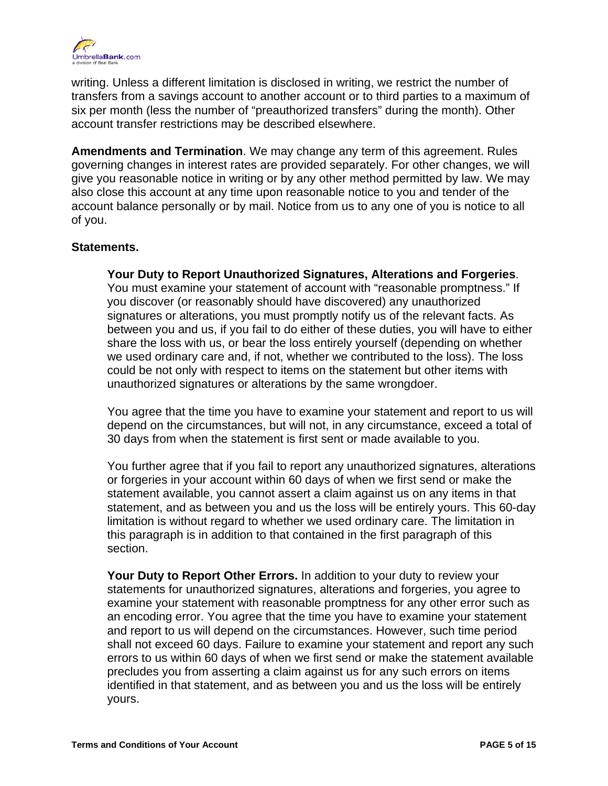

writing. Unless a different limitation is disclosed in writing, we restrict the number of transfers from a savings account to another account or to third parties to a maximum of six per month (less the number of "preauthorized transfers" during the month). Other account transfer restrictions may be described elsewhere.

**Amendments and Termination**. We may change any term of this agreement. Rules governing changes in interest rates are provided separately. For other changes, we will give you reasonable notice in writing or by any other method permitted by law. We may also close this account at any time upon reasonable notice to you and tender of the account balance personally or by mail. Notice from us to any one of you is notice to all of you.

#### **Statements.**

**Your Duty to Report Unauthorized Signatures, Alterations and Forgeries**. You must examine your statement of account with "reasonable promptness." If you discover (or reasonably should have discovered) any unauthorized signatures or alterations, you must promptly notify us of the relevant facts. As between you and us, if you fail to do either of these duties, you will have to either share the loss with us, or bear the loss entirely yourself (depending on whether we used ordinary care and, if not, whether we contributed to the loss). The loss could be not only with respect to items on the statement but other items with unauthorized signatures or alterations by the same wrongdoer.

You agree that the time you have to examine your statement and report to us will depend on the circumstances, but will not, in any circumstance, exceed a total of 30 days from when the statement is first sent or made available to you.

You further agree that if you fail to report any unauthorized signatures, alterations or forgeries in your account within 60 days of when we first send or make the statement available, you cannot assert a claim against us on any items in that statement, and as between you and us the loss will be entirely yours. This 60-day limitation is without regard to whether we used ordinary care. The limitation in this paragraph is in addition to that contained in the first paragraph of this section.

**Your Duty to Report Other Errors.** In addition to your duty to review your statements for unauthorized signatures, alterations and forgeries, you agree to examine your statement with reasonable promptness for any other error such as an encoding error. You agree that the time you have to examine your statement and report to us will depend on the circumstances. However, such time period shall not exceed 60 days. Failure to examine your statement and report any such errors to us within 60 days of when we first send or make the statement available precludes you from asserting a claim against us for any such errors on items identified in that statement, and as between you and us the loss will be entirely yours.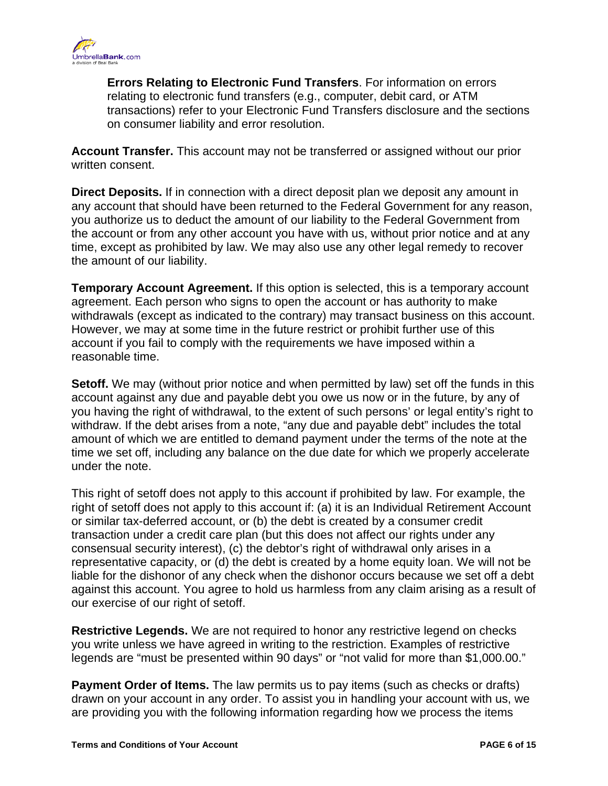

**Errors Relating to Electronic Fund Transfers**. For information on errors relating to electronic fund transfers (e.g., computer, debit card, or ATM transactions) refer to your Electronic Fund Transfers disclosure and the sections on consumer liability and error resolution.

**Account Transfer.** This account may not be transferred or assigned without our prior written consent.

**Direct Deposits.** If in connection with a direct deposit plan we deposit any amount in any account that should have been returned to the Federal Government for any reason, you authorize us to deduct the amount of our liability to the Federal Government from the account or from any other account you have with us, without prior notice and at any time, except as prohibited by law. We may also use any other legal remedy to recover the amount of our liability.

**Temporary Account Agreement.** If this option is selected, this is a temporary account agreement. Each person who signs to open the account or has authority to make withdrawals (except as indicated to the contrary) may transact business on this account. However, we may at some time in the future restrict or prohibit further use of this account if you fail to comply with the requirements we have imposed within a reasonable time.

**Setoff.** We may (without prior notice and when permitted by law) set off the funds in this account against any due and payable debt you owe us now or in the future, by any of you having the right of withdrawal, to the extent of such persons' or legal entity's right to withdraw. If the debt arises from a note, "any due and payable debt" includes the total amount of which we are entitled to demand payment under the terms of the note at the time we set off, including any balance on the due date for which we properly accelerate under the note.

This right of setoff does not apply to this account if prohibited by law. For example, the right of setoff does not apply to this account if: (a) it is an Individual Retirement Account or similar tax-deferred account, or (b) the debt is created by a consumer credit transaction under a credit care plan (but this does not affect our rights under any consensual security interest), (c) the debtor's right of withdrawal only arises in a representative capacity, or (d) the debt is created by a home equity loan. We will not be liable for the dishonor of any check when the dishonor occurs because we set off a debt against this account. You agree to hold us harmless from any claim arising as a result of our exercise of our right of setoff.

**Restrictive Legends.** We are not required to honor any restrictive legend on checks you write unless we have agreed in writing to the restriction. Examples of restrictive legends are "must be presented within 90 days" or "not valid for more than \$1,000.00."

**Payment Order of Items.** The law permits us to pay items (such as checks or drafts) drawn on your account in any order. To assist you in handling your account with us, we are providing you with the following information regarding how we process the items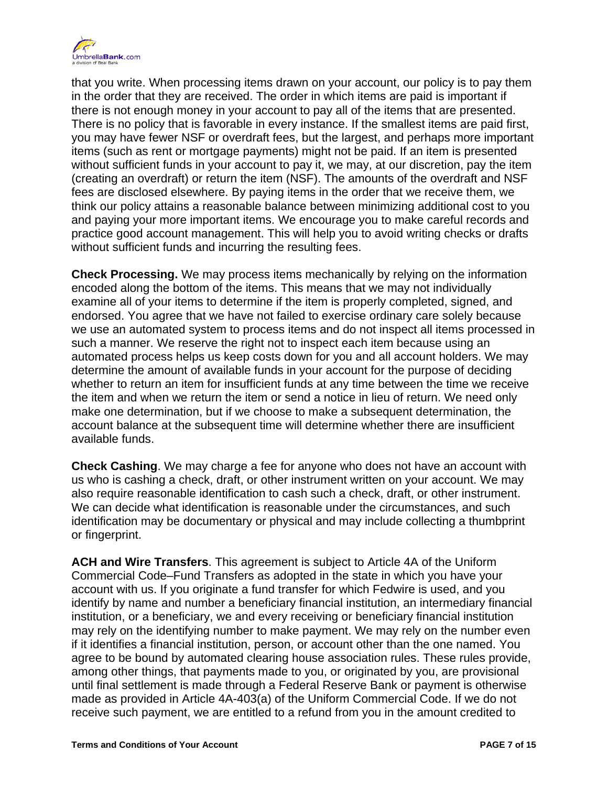

that you write. When processing items drawn on your account, our policy is to pay them in the order that they are received. The order in which items are paid is important if there is not enough money in your account to pay all of the items that are presented. There is no policy that is favorable in every instance. If the smallest items are paid first, you may have fewer NSF or overdraft fees, but the largest, and perhaps more important items (such as rent or mortgage payments) might not be paid. If an item is presented without sufficient funds in your account to pay it, we may, at our discretion, pay the item (creating an overdraft) or return the item (NSF). The amounts of the overdraft and NSF fees are disclosed elsewhere. By paying items in the order that we receive them, we think our policy attains a reasonable balance between minimizing additional cost to you and paying your more important items. We encourage you to make careful records and practice good account management. This will help you to avoid writing checks or drafts without sufficient funds and incurring the resulting fees.

**Check Processing.** We may process items mechanically by relying on the information encoded along the bottom of the items. This means that we may not individually examine all of your items to determine if the item is properly completed, signed, and endorsed. You agree that we have not failed to exercise ordinary care solely because we use an automated system to process items and do not inspect all items processed in such a manner. We reserve the right not to inspect each item because using an automated process helps us keep costs down for you and all account holders. We may determine the amount of available funds in your account for the purpose of deciding whether to return an item for insufficient funds at any time between the time we receive the item and when we return the item or send a notice in lieu of return. We need only make one determination, but if we choose to make a subsequent determination, the account balance at the subsequent time will determine whether there are insufficient available funds.

**Check Cashing**. We may charge a fee for anyone who does not have an account with us who is cashing a check, draft, or other instrument written on your account. We may also require reasonable identification to cash such a check, draft, or other instrument. We can decide what identification is reasonable under the circumstances, and such identification may be documentary or physical and may include collecting a thumbprint or fingerprint.

**ACH and Wire Transfers**. This agreement is subject to Article 4A of the Uniform Commercial Code–Fund Transfers as adopted in the state in which you have your account with us. If you originate a fund transfer for which Fedwire is used, and you identify by name and number a beneficiary financial institution, an intermediary financial institution, or a beneficiary, we and every receiving or beneficiary financial institution may rely on the identifying number to make payment. We may rely on the number even if it identifies a financial institution, person, or account other than the one named. You agree to be bound by automated clearing house association rules. These rules provide, among other things, that payments made to you, or originated by you, are provisional until final settlement is made through a Federal Reserve Bank or payment is otherwise made as provided in Article 4A-403(a) of the Uniform Commercial Code. If we do not receive such payment, we are entitled to a refund from you in the amount credited to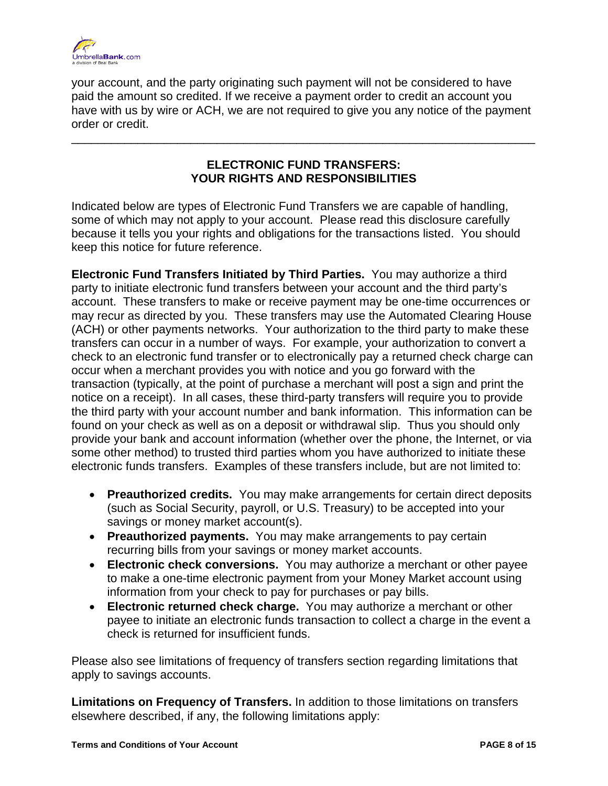

your account, and the party originating such payment will not be considered to have paid the amount so credited. If we receive a payment order to credit an account you have with us by wire or ACH, we are not required to give you any notice of the payment order or credit.

# **ELECTRONIC FUND TRANSFERS: YOUR RIGHTS AND RESPONSIBILITIES**

\_\_\_\_\_\_\_\_\_\_\_\_\_\_\_\_\_\_\_\_\_\_\_\_\_\_\_\_\_\_\_\_\_\_\_\_\_\_\_\_\_\_\_\_\_\_\_\_\_\_\_\_\_\_\_\_\_\_\_\_\_\_\_\_\_\_\_\_\_\_

Indicated below are types of Electronic Fund Transfers we are capable of handling, some of which may not apply to your account. Please read this disclosure carefully because it tells you your rights and obligations for the transactions listed. You should keep this notice for future reference.

**Electronic Fund Transfers Initiated by Third Parties.** You may authorize a third party to initiate electronic fund transfers between your account and the third party's account. These transfers to make or receive payment may be one-time occurrences or may recur as directed by you. These transfers may use the Automated Clearing House (ACH) or other payments networks. Your authorization to the third party to make these transfers can occur in a number of ways. For example, your authorization to convert a check to an electronic fund transfer or to electronically pay a returned check charge can occur when a merchant provides you with notice and you go forward with the transaction (typically, at the point of purchase a merchant will post a sign and print the notice on a receipt). In all cases, these third-party transfers will require you to provide the third party with your account number and bank information. This information can be found on your check as well as on a deposit or withdrawal slip. Thus you should only provide your bank and account information (whether over the phone, the Internet, or via some other method) to trusted third parties whom you have authorized to initiate these electronic funds transfers. Examples of these transfers include, but are not limited to:

- •**Preauthorized credits.** You may make arrangements for certain direct deposits (such as Social Security, payroll, or U.S. Treasury) to be accepted into your savings or money market account(s).
- •**Preauthorized payments.** You may make arrangements to pay certain recurring bills from your savings or money market accounts.
- •**Electronic check conversions.** You may authorize a merchant or other payee to make a one-time electronic payment from your Money Market account using information from your check to pay for purchases or pay bills.
- •**Electronic returned check charge.** You may authorize a merchant or other payee to initiate an electronic funds transaction to collect a charge in the event a check is returned for insufficient funds.

Please also see limitations of frequency of transfers section regarding limitations that apply to savings accounts.

**Limitations on Frequency of Transfers.** In addition to those limitations on transfers elsewhere described, if any, the following limitations apply: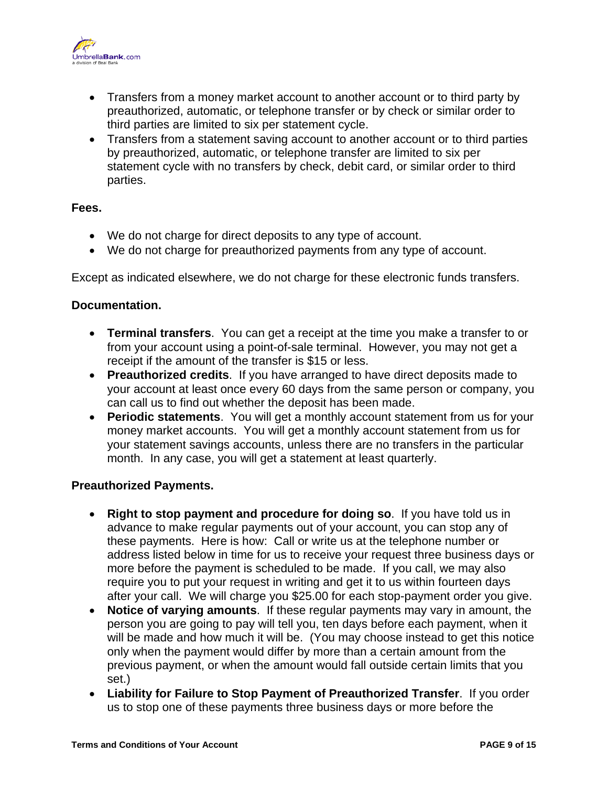

- •Transfers from a money market account to another account or to third party by preauthorized, automatic, or telephone transfer or by check or similar order to third parties are limited to six per statement cycle.
- •Transfers from a statement saving account to another account or to third parties by preauthorized, automatic, or telephone transfer are limited to six per statement cycle with no transfers by check, debit card, or similar order to third parties.

#### **Fees.**

- •We do not charge for direct deposits to any type of account.
- •We do not charge for preauthorized payments from any type of account.

Except as indicated elsewhere, we do not charge for these electronic funds transfers.

#### **Documentation.**

- •**Terminal transfers**. You can get a receipt at the time you make a transfer to or from your account using a point-of-sale terminal. However, you may not get a receipt if the amount of the transfer is \$15 or less.
- •**Preauthorized credits**. If you have arranged to have direct deposits made to your account at least once every 60 days from the same person or company, you can call us to find out whether the deposit has been made.
- •**Periodic statements**. You will get a monthly account statement from us for your money market accounts. You will get a monthly account statement from us for your statement savings accounts, unless there are no transfers in the particular month. In any case, you will get a statement at least quarterly.

# **Preauthorized Payments.**

- •**Right to stop payment and procedure for doing so**. If you have told us in advance to make regular payments out of your account, you can stop any of these payments. Here is how: Call or write us at the telephone number or address listed below in time for us to receive your request three business days or more before the payment is scheduled to be made. If you call, we may also require you to put your request in writing and get it to us within fourteen days after your call. We will charge you \$25.00 for each stop-payment order you give.
- •**Notice of varying amounts**. If these regular payments may vary in amount, the person you are going to pay will tell you, ten days before each payment, when it will be made and how much it will be. (You may choose instead to get this notice only when the payment would differ by more than a certain amount from the previous payment, or when the amount would fall outside certain limits that you set.)
- •**Liability for Failure to Stop Payment of Preauthorized Transfer**. If you order us to stop one of these payments three business days or more before the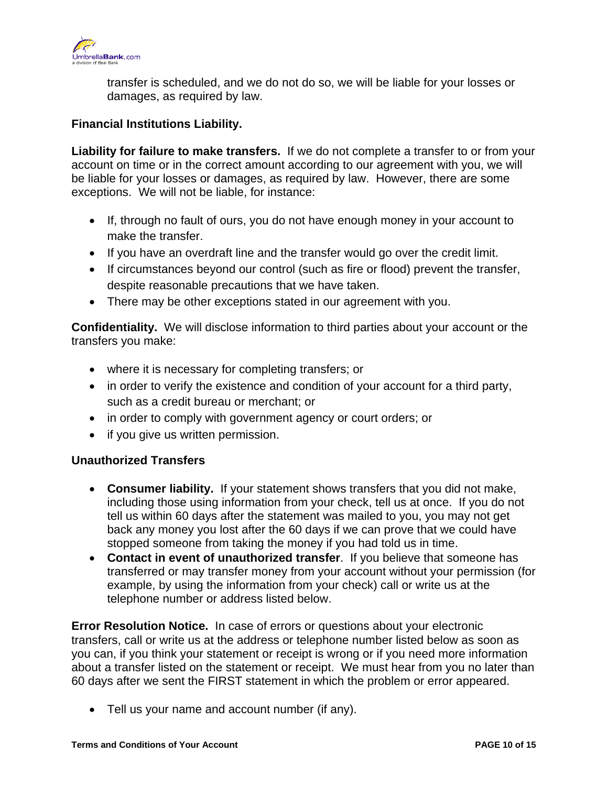

transfer is scheduled, and we do not do so, we will be liable for your losses or damages, as required by law.

#### **Financial Institutions Liability.**

**Liability for failure to make transfers.** If we do not complete a transfer to or from your account on time or in the correct amount according to our agreement with you, we will be liable for your losses or damages, as required by law. However, there are some exceptions. We will not be liable, for instance:

- •If, through no fault of ours, you do not have enough money in your account to make the transfer.
- •If you have an overdraft line and the transfer would go over the credit limit.
- •If circumstances beyond our control (such as fire or flood) prevent the transfer, despite reasonable precautions that we have taken.
- •There may be other exceptions stated in our agreement with you.

**Confidentiality.** We will disclose information to third parties about your account or the transfers you make:

- •where it is necessary for completing transfers; or
- in order to verify the existence and condition of your account for a third party, such as a credit bureau or merchant; or
- •in order to comply with government agency or court orders; or
- if you give us written permission.

#### **Unauthorized Transfers**

- •**Consumer liability.** If your statement shows transfers that you did not make, including those using information from your check, tell us at once. If you do not tell us within 60 days after the statement was mailed to you, you may not get back any money you lost after the 60 days if we can prove that we could have stopped someone from taking the money if you had told us in time.
- •**Contact in event of unauthorized transfer**. If you believe that someone has transferred or may transfer money from your account without your permission (for example, by using the information from your check) call or write us at the telephone number or address listed below.

**Error Resolution Notice.** In case of errors or questions about your electronic transfers, call or write us at the address or telephone number listed below as soon as you can, if you think your statement or receipt is wrong or if you need more information about a transfer listed on the statement or receipt. We must hear from you no later than 60 days after we sent the FIRST statement in which the problem or error appeared.

 •Tell us your name and account number (if any).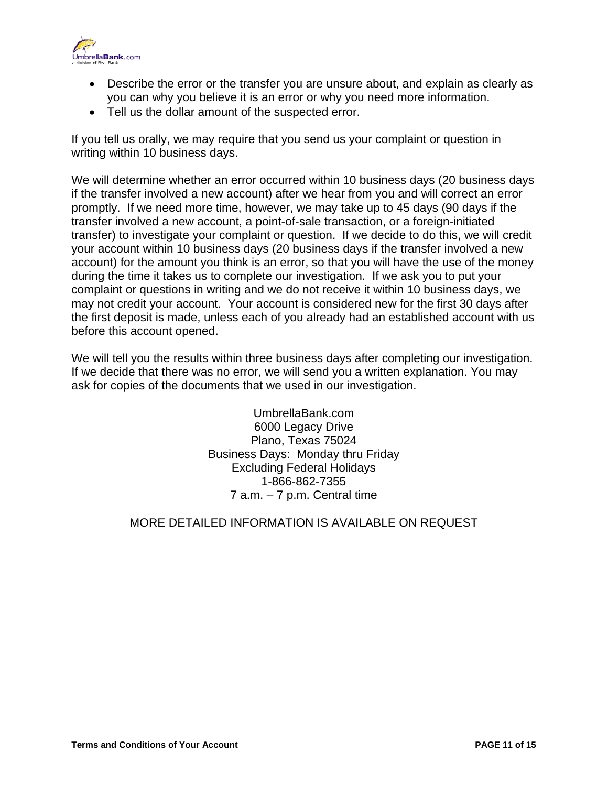

- •Describe the error or the transfer you are unsure about, and explain as clearly as you can why you believe it is an error or why you need more information.
- •Tell us the dollar amount of the suspected error.

If you tell us orally, we may require that you send us your complaint or question in writing within 10 business days.

We will determine whether an error occurred within 10 business days (20 business days if the transfer involved a new account) after we hear from you and will correct an error promptly. If we need more time, however, we may take up to 45 days (90 days if the transfer involved a new account, a point-of-sale transaction, or a foreign-initiated transfer) to investigate your complaint or question. If we decide to do this, we will credit your account within 10 business days (20 business days if the transfer involved a new account) for the amount you think is an error, so that you will have the use of the money during the time it takes us to complete our investigation. If we ask you to put your complaint or questions in writing and we do not receive it within 10 business days, we may not credit your account. Your account is considered new for the first 30 days after the first deposit is made, unless each of you already had an established account with us before this account opened.

We will tell you the results within three business days after completing our investigation. If we decide that there was no error, we will send you a written explanation. You may ask for copies of the documents that we used in our investigation.

> Excluding Federal Holidays1-866-862-7355 UmbrellaBank.com 6000 Legacy Drive Plano, Texas 75024 Business Days: Monday thru Friday 7 a.m. – 7 p.m. Central time

# MORE DETAILED INFORMATION IS AVAILABLE ON REQUEST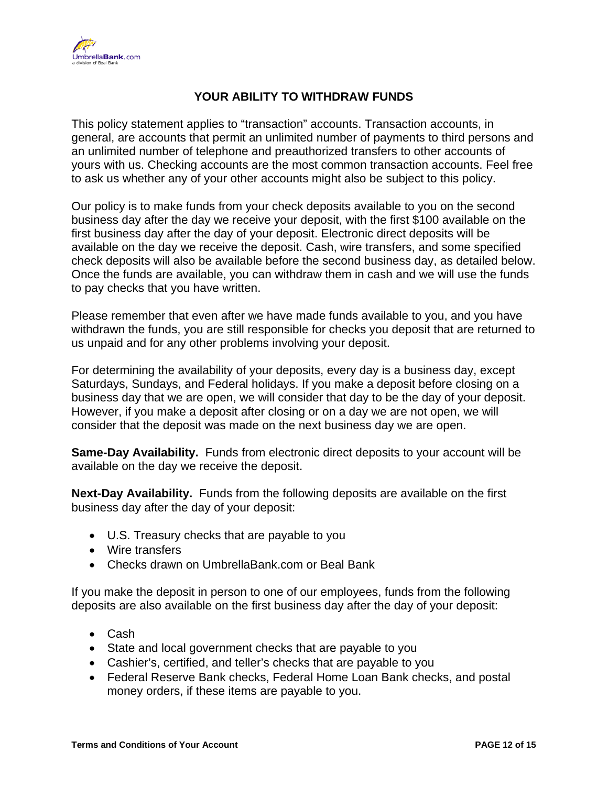

# **YOUR ABILITY TO WITHDRAW FUNDS**

This policy statement applies to "transaction" accounts. Transaction accounts, in general, are accounts that permit an unlimited number of payments to third persons and an unlimited number of telephone and preauthorized transfers to other accounts of yours with us. Checking accounts are the most common transaction accounts. Feel free to ask us whether any of your other accounts might also be subject to this policy.

Our policy is to make funds from your check deposits available to you on the second business day after the day we receive your deposit, with the first \$100 available on the first business day after the day of your deposit. Electronic direct deposits will be available on the day we receive the deposit. Cash, wire transfers, and some specified check deposits will also be available before the second business day, as detailed below. Once the funds are available, you can withdraw them in cash and we will use the funds to pay checks that you have written.

Please remember that even after we have made funds available to you, and you have withdrawn the funds, you are still responsible for checks you deposit that are returned to us unpaid and for any other problems involving your deposit.

For determining the availability of your deposits, every day is a business day, except Saturdays, Sundays, and Federal holidays. If you make a deposit before closing on a business day that we are open, we will consider that day to be the day of your deposit. However, if you make a deposit after closing or on a day we are not open, we will consider that the deposit was made on the next business day we are open.

Same-Day Availability. Funds from electronic direct deposits to your account will be available on the day we receive the deposit.

 **Next-Day Availability.** Funds from the following deposits are available on the first business day after the day of your deposit:

- •U.S. Treasury checks that are payable to you
- Wire transfers
- •Checks drawn on UmbrellaBank.com or Beal Bank

If you make the deposit in person to one of our employees, funds from the following deposits are also available on the first business day after the day of your deposit:

- Cash
- •State and local government checks that are payable to you
- •Cashier's, certified, and teller's checks that are payable to you
- •Federal Reserve Bank checks, Federal Home Loan Bank checks, and postal money orders, if these items are payable to you.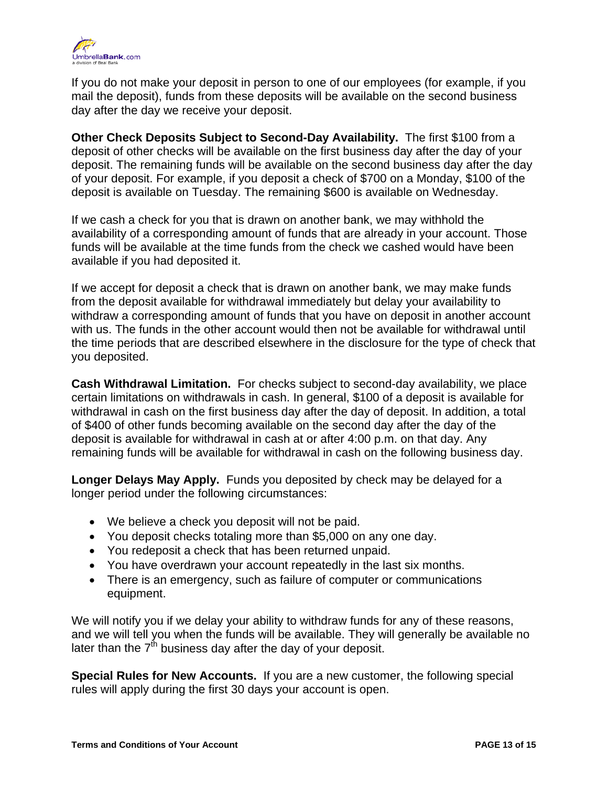

If you do not make your deposit in person to one of our employees (for example, if you mail the deposit), funds from these deposits will be available on the second business day after the day we receive your deposit.

**Other Check Deposits Subject to Second-Day Availability.** The first \$100 from a deposit of other checks will be available on the first business day after the day of your deposit. The remaining funds will be available on the second business day after the day of your deposit. For example, if you deposit a check of \$700 on a Monday, \$100 of the deposit is available on Tuesday. The remaining \$600 is available on Wednesday.

If we cash a check for you that is drawn on another bank, we may withhold the availability of a corresponding amount of funds that are already in your account. Those funds will be available at the time funds from the check we cashed would have been available if you had deposited it.

If we accept for deposit a check that is drawn on another bank, we may make funds from the deposit available for withdrawal immediately but delay your availability to withdraw a corresponding amount of funds that you have on deposit in another account with us. The funds in the other account would then not be available for withdrawal until the time periods that are described elsewhere in the disclosure for the type of check that you deposited.

**Cash Withdrawal Limitation.** For checks subject to second-day availability, we place certain limitations on withdrawals in cash. In general, \$100 of a deposit is available for withdrawal in cash on the first business day after the day of deposit. In addition, a total of \$400 of other funds becoming available on the second day after the day of the deposit is available for withdrawal in cash at or after 4:00 p.m. on that day. Any remaining funds will be available for withdrawal in cash on the following business day.

Longer Delays May Apply. Funds you deposited by check may be delayed for a longer period under the following circumstances:

- •We believe a check you deposit will not be paid.
- •You deposit checks totaling more than \$5,000 on any one day.
- •You redeposit a check that has been returned unpaid.
- •You have overdrawn your account repeatedly in the last six months.
- •There is an emergency, such as failure of computer or communications

We will notify you if we delay your ability to withdraw funds for any of these reasons, and we will tell you when the funds will be available. They will generally be available no later than the  $7<sup>th</sup>$  business day after the day of your deposit.

**Special Rules for New Accounts.** If you are a new customer, the following special rules will apply during the first 30 days your account is open.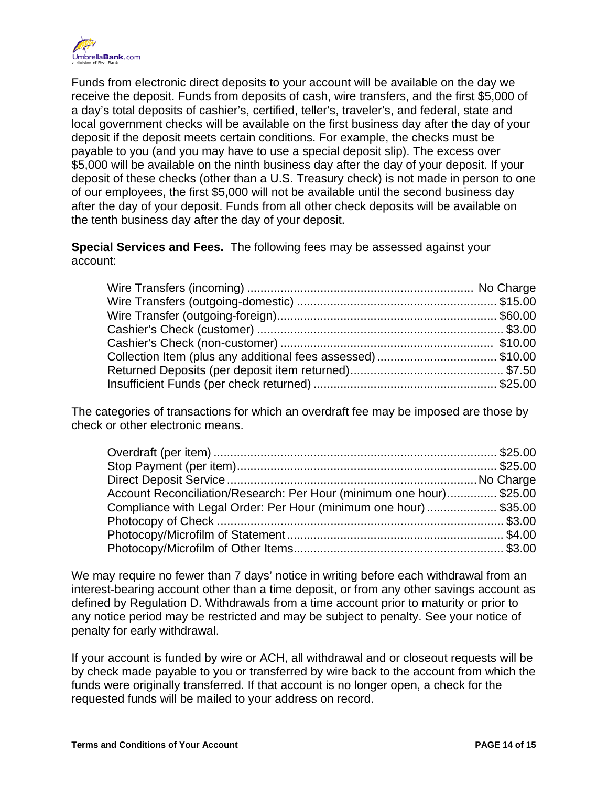

Funds from electronic direct deposits to your account will be available on the day we receive the deposit. Funds from deposits of cash, wire transfers, and the first \$5,000 of a day's total deposits of cashier's, certified, teller's, traveler's, and federal, state and local government checks will be available on the first business day after the day of your deposit if the deposit meets certain conditions. For example, the checks must be payable to you (and you may have to use a special deposit slip). The excess over \$5,000 will be available on the ninth business day after the day of your deposit. If your deposit of these checks (other than a U.S. Treasury check) is not made in person to one of our employees, the first \$5,000 will not be available until the second business day after the day of your deposit. Funds from all other check deposits will be available on the tenth business day after the day of your deposit.

**Special Services and Fees.** The following fees may be assessed against your account:

The categories of transactions for which an overdraft fee may be imposed are those by check or other electronic means.

| Account Reconciliation/Research: Per Hour (minimum one hour)\$25.00 |  |
|---------------------------------------------------------------------|--|
| Compliance with Legal Order: Per Hour (minimum one hour) \$35.00    |  |
|                                                                     |  |
|                                                                     |  |
|                                                                     |  |

We may require no fewer than 7 days' notice in writing before each withdrawal from an interest-bearing account other than a time deposit, or from any other savings account as defined by Regulation D. Withdrawals from a time account prior to maturity or prior to any notice period may be restricted and may be subject to penalty. See your notice of penalty for early withdrawal.

If your account is funded by wire or ACH, all withdrawal and or closeout requests will be by check made payable to you or transferred by wire back to the account from which the funds were originally transferred. If that account is no longer open, a check for the requested funds will be mailed to your address on record.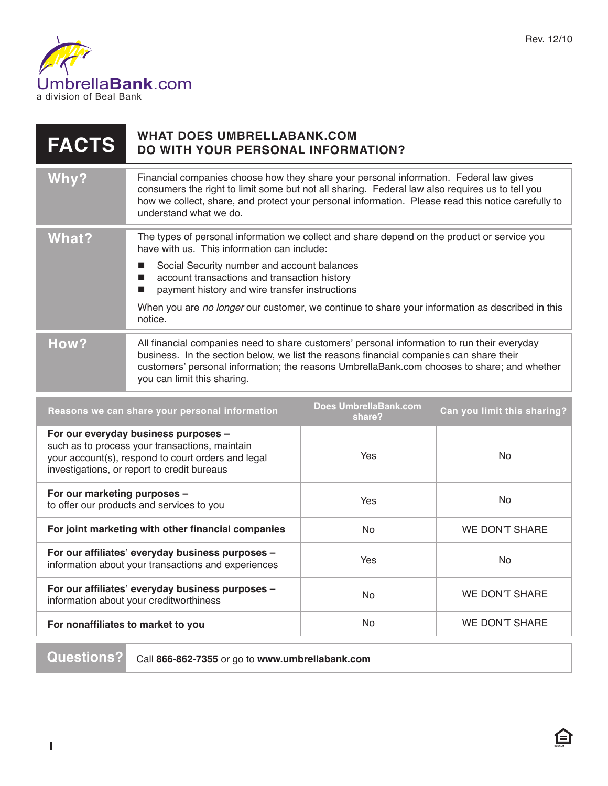

| <b>FACTS</b>                                                                                                                                                                                | <b>WHAT DOES UMBRELLABANK.COM</b><br><b>DO WITH YOUR PERSONAL INFORMATION?</b>                                                                                                                                                                                                                                            |                                        |                             |
|---------------------------------------------------------------------------------------------------------------------------------------------------------------------------------------------|---------------------------------------------------------------------------------------------------------------------------------------------------------------------------------------------------------------------------------------------------------------------------------------------------------------------------|----------------------------------------|-----------------------------|
| Why?                                                                                                                                                                                        | Financial companies choose how they share your personal information. Federal law gives<br>consumers the right to limit some but not all sharing. Federal law also requires us to tell you<br>how we collect, share, and protect your personal information. Please read this notice carefully to<br>understand what we do. |                                        |                             |
| What?                                                                                                                                                                                       | The types of personal information we collect and share depend on the product or service you<br>have with us. This information can include:<br>Social Security number and account balances<br>$\blacksquare$                                                                                                               |                                        |                             |
|                                                                                                                                                                                             | account transactions and transaction history<br>m.<br>payment history and wire transfer instructions<br>П                                                                                                                                                                                                                 |                                        |                             |
|                                                                                                                                                                                             | When you are no longer our customer, we continue to share your information as described in this<br>notice.                                                                                                                                                                                                                |                                        |                             |
| How?                                                                                                                                                                                        | All financial companies need to share customers' personal information to run their everyday<br>business. In the section below, we list the reasons financial companies can share their<br>customers' personal information; the reasons UmbrellaBank.com chooses to share; and whether<br>you can limit this sharing.      |                                        |                             |
| Reasons we can share your personal information                                                                                                                                              |                                                                                                                                                                                                                                                                                                                           | <b>Does UmbrellaBank.com</b><br>share? | Can you limit this sharing? |
| For our everyday business purposes -<br>such as to process your transactions, maintain<br>your account(s), respond to court orders and legal<br>investigations, or report to credit bureaus |                                                                                                                                                                                                                                                                                                                           | Yes                                    | <b>No</b>                   |
| For our marketing purposes -<br>to offer our products and services to you                                                                                                                   |                                                                                                                                                                                                                                                                                                                           | Yes                                    | <b>No</b>                   |
| For joint marketing with other financial companies                                                                                                                                          |                                                                                                                                                                                                                                                                                                                           | No                                     | <b>WE DON'T SHARE</b>       |
|                                                                                                                                                                                             |                                                                                                                                                                                                                                                                                                                           |                                        |                             |

Rev. 12/10

| to onor our producto and corricoo to you                                                                |     |                |
|---------------------------------------------------------------------------------------------------------|-----|----------------|
| For joint marketing with other financial companies                                                      | No. | WE DON'T SHARE |
| For our affiliates' everyday business purposes -<br>information about your transactions and experiences | Yes | No.            |
| For our affiliates' everyday business purposes -<br>information about your creditworthiness             | No. | WE DON'T SHARE |
| For nonaffiliates to market to you                                                                      | No. | WE DON'T SHARE |
|                                                                                                         |     |                |

**Questions?** Call **866-862-7355** or go to **www.umbrellabank.com**